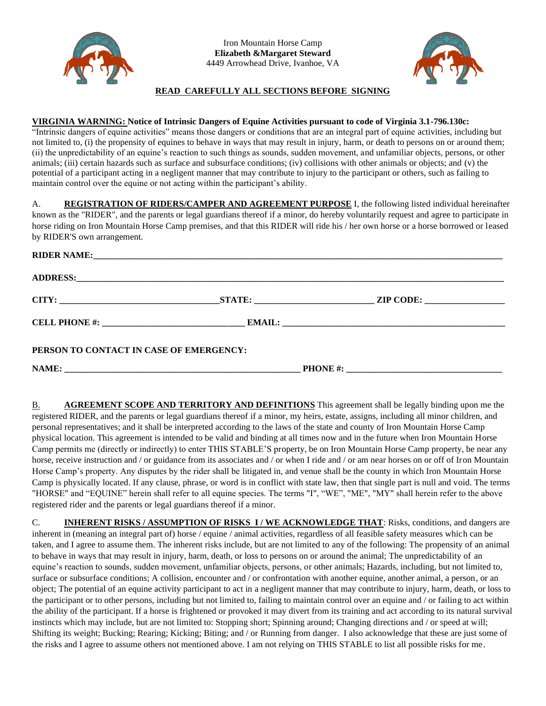

Iron Mountain Horse Camp **Elizabeth &Margaret Steward** 4449 Arrowhead Drive, Ivanhoe, VA



## **READ CAREFULLY ALL SECTIONS BEFORE SIGNING**

#### **VIRGINIA WARNING: Notice of Intrinsic Dangers of Equine Activities pursuant to code of Virginia 3.1-796.130c:**

"Intrinsic dangers of equine activities" means those dangers or conditions that are an integral part of equine activities, including but not limited to, (i) the propensity of equines to behave in ways that may result in injury, harm, or death to persons on or around them; (ii) the unpredictability of an equine's reaction to such things as sounds, sudden movement, and unfamiliar objects, persons, or other animals; (iii) certain hazards such as surface and subsurface conditions; (iv) collisions with other animals or objects; and (v) the potential of a participant acting in a negligent manner that may contribute to injury to the participant or others, such as failing to maintain control over the equine or not acting within the participant's ability.

A. **REGISTRATION OF RIDERS/CAMPER AND AGREEMENT PURPOSE** I, the following listed individual hereinafter known as the "RIDER", and the parents or legal guardians thereof if a minor, do hereby voluntarily request and agree to participate in horse riding on Iron Mountain Horse Camp premises, and that this RIDER will ride his / her own horse or a horse borrowed or leased by RIDER'S own arrangement.

|                                         | ADDRESS: Andrew Contract the Contract of the Contract of the Contract of the Contract of the Contract of the Contract of the Contract of the Contract of the Contract of the Contract of the Contract of the Contract of the C |  |  |
|-----------------------------------------|--------------------------------------------------------------------------------------------------------------------------------------------------------------------------------------------------------------------------------|--|--|
|                                         |                                                                                                                                                                                                                                |  |  |
|                                         |                                                                                                                                                                                                                                |  |  |
| PERSON TO CONTACT IN CASE OF EMERGENCY: |                                                                                                                                                                                                                                |  |  |
|                                         |                                                                                                                                                                                                                                |  |  |

B. **AGREEMENT SCOPE AND TERRITORY AND DEFINITIONS** This agreement shall be legally binding upon me the registered RIDER, and the parents or legal guardians thereof if a minor, my heirs, estate, assigns, including all minor children, and personal representatives; and it shall be interpreted according to the laws of the state and county of Iron Mountain Horse Camp physical location. This agreement is intended to be valid and binding at all times now and in the future when Iron Mountain Horse Camp permits me (directly or indirectly) to enter THIS STABLE'S property, be on Iron Mountain Horse Camp property, be near any horse, receive instruction and / or guidance from its associates and / or when I ride and / or am near horses on or off of Iron Mountain Horse Camp's property. Any disputes by the rider shall be litigated in, and venue shall be the county in which Iron Mountain Horse Camp is physically located. If any clause, phrase, or word is in conflict with state law, then that single part is null and void. The terms "HORSE" and "EQUINE" herein shall refer to all equine species. The terms "I", "WE", "ME", "MY" shall herein refer to the above registered rider and the parents or legal guardians thereof if a minor.

C. **INHERENT RISKS / ASSUMPTION OF RISKS I / WE ACKNOWLEDGE THAT**: Risks, conditions, and dangers are inherent in (meaning an integral part of) horse / equine / animal activities, regardless of all feasible safety measures which can be taken, and I agree to assume them. The inherent risks include, but are not limited to any of the following: The propensity of an animal to behave in ways that may result in injury, harm, death, or loss to persons on or around the animal; The unpredictability of an equine's reaction to sounds, sudden movement, unfamiliar objects, persons, or other animals; Hazards, including, but not limited to, surface or subsurface conditions; A collision, encounter and / or confrontation with another equine, another animal, a person, or an object; The potential of an equine activity participant to act in a negligent manner that may contribute to injury, harm, death, or loss to the participant or to other persons, including but not limited to, failing to maintain control over an equine and / or failing to act within the ability of the participant. If a horse is frightened or provoked it may divert from its training and act according to its natural survival instincts which may include, but are not limited to: Stopping short; Spinning around; Changing directions and / or speed at will; Shifting its weight; Bucking; Rearing; Kicking; Biting; and / or Running from danger. I also acknowledge that these are just some of the risks and I agree to assume others not mentioned above. I am not relying on THIS STABLE to list all possible risks for me.